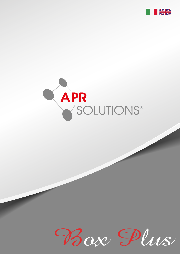



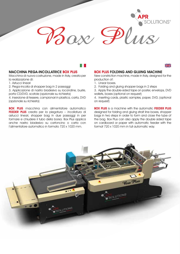# Box Plus

#### MACCHINA PIEGA-INCOLLATRICE BOX PLUS

Macchina di nuova costruzione, made in Italy, creata per la realizzazione di:

- 1. Astucci lineari
- 2. Piega-incolla di shopper bag in 2 passaggi

3. Applicazione di nastro biadesivo su locandine, buste, porta CD/DVD, scatole (opzionale su richiesta)

4. Inserzione di tessere, campionari in plastica, carta, DVD (opzionale su richiesta)

**BOX PLUS** macchina con alimentatore automatico FEEDER PLUS creata per la piegatura – incollatura di astucci lineari, shopper bag in due passaggi in per formare e chiudere il tubo della borsa. Box Plus applica anche nastro biadesivo su cartoncino o carta con l'alimentatore automatico in formato 720 x 1020 mm.

#### BOX PLUS FOLDING AND GLUING MACHINE

New constriction machine, made in Italy, designed for the production of:

- 1. Linear boxes.
- 2. Folding and gluing shopper bags in 2 steps
- 3. Apply the double-sided tape on poster, envelops, DVD wallets, boxes (optional on request)

4. Inserting cards, plastic samples, paper, DVD, (optional on request)

**BOX PLUS** is a machine with the automatic FEEDER PLUS designed for folding and gluing strait line boxes, shopper bags in two steps in order to form and close the tube of the bag. Box Plus can also apply the double sided tape on cardboard or paper with automatic feeder with the format 720 x 1020 mm in full automatic way.



 $\geq$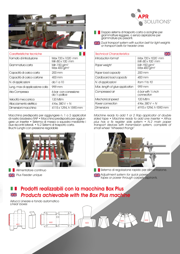

| Caratteristiche tecniche        |                                                      |
|---------------------------------|------------------------------------------------------|
| Formato di introduzione         | Max 720 x 1020 mm<br>Min 80 x 100 mm                 |
| Grammatura carta                | Min 150 g/m <sup>2</sup><br>Max 400 g/m <sup>2</sup> |
| Capacità di carico carta        | $200 \,\mathrm{mm}$                                  |
| Capacità di carico cartone      | 400 mm                                               |
| N. di applicazioni              | da 1 a 10                                            |
| Lung. max di applicazione colla | 999 mm                                               |
| Aria Compressa                  | 6 bar con conessione<br>$da \frac{1}{2}$ pollice     |
| Velocità meccanica              | 120 Mt/m                                             |
| Allacciamento elettrico         | 4 Kw, $380V + N$                                     |
| Dimensioni macchina             | 4115 x 1294, h 1590 mm                               |

Macchina predisposta per aggiungere n. 1 o 2 applicatori di nastro biadesivo RAP • Macchina predisposta per aggiungere un inserter • Sistema di messa a squadra mediante i due riscontri laterali. • N.2 Sistemi di trasporto carta. Bruchi Lunghi con pressione regolabile



Alimentatore continuo **Plus Feeder unique** 



- **Dispension Systems di trasporto carta a acinghie per** grammatture leggere, o senza aspirazione per grammature più pesanti.
- Dual transport system with suction belt for light weights or transport belts for heavier ones

| <b>Technical Characteristics</b> |                                                      |
|----------------------------------|------------------------------------------------------|
| Introduction format              | Max 720 x 1020 mm<br>$Min 80 \times 100$ mm          |
| Paper weight                     | Min 150 g/m <sup>2</sup><br>Max 400 g/m <sup>2</sup> |
| Paper load capacity              | 200 mm                                               |
| Cardboard load capacity          | 400 mm                                               |
| N. di applicazioni               | from 1 to 10                                         |
| Max. length of glue application  | 999 mm                                               |
| Compressed air                   | 6 bar with $\frac{1}{2}$ inch<br>connection          |
| Mechanical speed                 | 120 Mtlm                                             |
| Power connection                 | 4 Kw, 380 V + N                                      |
| Dimensions                       | 4115 x 1294, h 1590 mm                               |

Machine ready to add 1 or 2 Rap applicator of double sided tape • Machine ready to add one inserter • Athos plus has a fix register side system • N.2 main paper transport devices with transmission system, complete of small wheel "Wheeled thongs"



Sistema di regolazione rapido per alimentazione. **Adjustment system for quick power** tapes or power through carpets aspirants.

#### Prodotti realizzabili con la macchina Box Plus H. Products achievable with the Box Plus machine  $\frac{N}{N}$

Astucci Lineare e fondo automatico Linear boxes